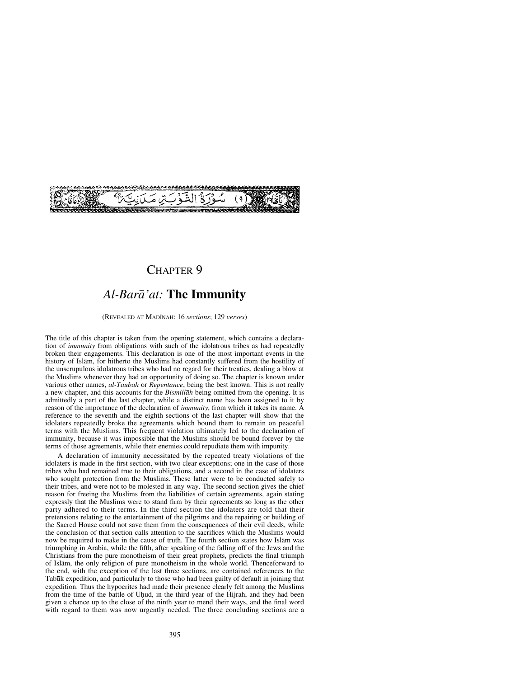

### CHAPTER 9

## *Al-Barå'at:* **The Immunity**

(REVEALED AT MADÍNAH: 16 *sections*; 129 *verses*)

The title of this chapter is taken from the opening statement, which contains a declaration of *immunity* from obligations with such of the idolatrous tribes as had repeatedly broken their engagements. This declaration is one of the most important events in the history of Islåm, for hitherto the Muslims had constantly suffered from the hostility of the unscrupulous idolatrous tribes who had no regard for their treaties, dealing a blow at the Muslims whenever they had an opportunity of doing so. The chapter is known under various other names, *al-Taubah* or *Repentance*, being the best known. This is not really a new chapter, and this accounts for the *Bismillåh* being omitted from the opening. It is admittedly a part of the last chapter, while a distinct name has been assigned to it by reason of the importance of the declaration of *immunity*, from which it takes its name. A reference to the seventh and the eighth sections of the last chapter will show that the idolaters repeatedly broke the agreements which bound them to remain on peaceful terms with the Muslims. This frequent violation ultimately led to the declaration of immunity, because it was impossible that the Muslims should be bound forever by the terms of those agreements, while their enemies could repudiate them with impunity.

A declaration of immunity necessitated by the repeated treaty violations of the idolaters is made in the first section, with two clear exceptions; one in the case of those tribes who had remained true to their obligations, and a second in the case of idolaters who sought protection from the Muslims. These latter were to be conducted safely to their tribes, and were not to be molested in any way. The second section gives the chief reason for freeing the Muslims from the liabilities of certain agreements, again stating expressly that the Muslims were to stand firm by their agreements so long as the other party adhered to their terms. In the third section the idolaters are told that their pretensions relating to the entertainment of the pilgrims and the repairing or building of the Sacred House could not save them from the consequences of their evil deeds, while the conclusion of that section calls attention to the sacrifices which the Muslims would now be required to make in the cause of truth. The fourth section states how Islåm was triumphing in Arabia, while the fifth, after speaking of the falling off of the Jews and the Christians from the pure monotheism of their great prophets, predicts the final triumph of Islåm, the only religion of pure monotheism in the whole world. Thenceforward to the end, with the exception of the last three sections, are contained references to the Tabūk expedition, and particularly to those who had been guilty of default in joining that expedition. Thus the hypocrites had made their presence clearly felt among the Muslims from the time of the battle of Uhud, in the third year of the Hijrah, and they had been given a chance up to the close of the ninth year to mend their ways, and the final word with regard to them was now urgently needed. The three concluding sections are a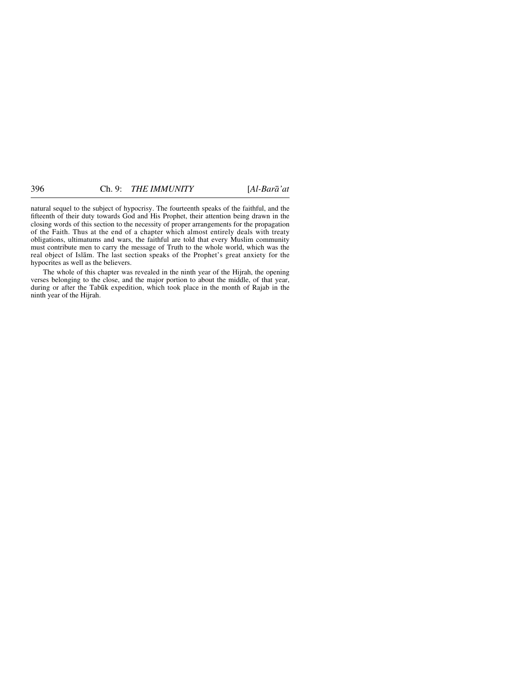natural sequel to the subject of hypocrisy. The fourteenth speaks of the faithful, and the fifteenth of their duty towards God and His Prophet, their attention being drawn in the closing words of this section to the necessity of proper arrangements for the propagation of the Faith. Thus at the end of a chapter which almost entirely deals with treaty obligations, ultimatums and wars, the faithful are told that every Muslim community must contribute men to carry the message of Truth to the whole world, which was the real object of Islåm. The last section speaks of the Prophet's great anxiety for the hypocrites as well as the believers.

The whole of this chapter was revealed in the ninth year of the Hijrah, the opening verses belonging to the close, and the major portion to about the middle, of that year, during or after the Tab∂k expedition, which took place in the month of Rajab in the ninth year of the Hijrah.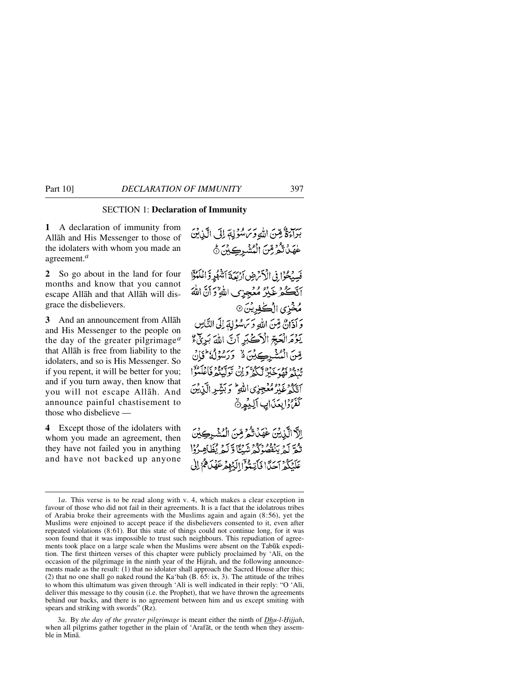### SECTION 1: **Declaration of Immunity**

**1** A declaration of immunity from Allåh and His Messenger to those of the idolaters with whom you made an agreement.*<sup>a</sup>*

**2** So go about in the land for four months and know that you cannot escape Allåh and that Allåh will disgrace the disbelievers.

**3** And an announcement from Allåh and His Messenger to the people on the day of the greater pilgrimage*<sup>a</sup>* that Allåh is free from liability to the idolaters, and so is His Messenger. So if you repent, it will be better for you; and if you turn away, then know that you will not escape Allåh. And announce painful chastisement to those who disbelieve —

**4** Except those of the idolaters with whom you made an agreement, then they have not failed you in anything and have not backed up anyone سِبْ هُ مِينَ اللَّهِ وَسَ سُؤْلِةَ إِلَى الَّذِينَ عْهَدْتُمْرِمِّنَ الْمُشْرِكِيْنَ هُ فَسِيُحُوافِي الْأَمْ ضِ أَرْبَعَةَ أَشْهُرٍ وَاعْلَمُوَّا انْكُكُرْغَيْرُ مُعُجِزِى اللَّهِ ۚ وَ أَنَّ اللَّهَ مُخْزِى الْكْفِرِيْنَ ۞ وَ أَذَارٌ، قِينَ اللَّهِ وَيَرَسْوُلِهَ إِلَى النَّاسِ يَوْمَ الْعَبِّرِّ الْآَكَيْدِ أَنَّ اللَّهَ بَدِئْ \$

يِّينَ الْمُشْرِكِيْنَ هُ ۖ وَرَسُوْلُهُ ۖ وَلَا يَهْ ودود بور برده سرده برن سر برد د .<br>تبييد فقو خبر ليكثر ولِّ وَلِنَ تَوَلَّيْتُمْ فَاعْلَمْوَا أَتَكُمْ غَيْرُ مُغْجِزِي اللَّهِ ۖ وَبَشِّرِ الَّذِيْنَ كَفَرُوْابِعَنَانِ ٱلْبِيُونُ

الآدالَّيْنَ عْهَدَٰتُمْ مِّنَ الْمُشْرِكِينَ تْعَرَّكْمْ يَنْفَصُوْكُمْ شَبْكًا وَكَيْمْ يُظَاهِبُوْاْ عَلَيْكُمْ آحَدًّا فَأَنِّتُوْٓا اِلَيۡلِمۡ عَهُّدَاهُمْ إِلَىٰ

<sup>1</sup>*a*. This verse is to be read along with v. 4, which makes a clear exception in favour of those who did not fail in their agreements. It is a fact that the idolatrous tribes of Arabia broke their agreements with the Muslims again and again (8:56), yet the Muslims were enjoined to accept peace if the disbelievers consented to it, even after repeated violations (8:61). But this state of things could not continue long, for it was soon found that it was impossible to trust such neighbours. This repudiation of agreements took place on a large scale when the Muslims were absent on the Tabūk expedition. The first thirteen verses of this chapter were publicly proclaimed by 'Alß, on the occasion of the pilgrimage in the ninth year of the Hijrah, and the following announcements made as the result: (1) that no idolater shall approach the Sacred House after this; (2) that no one shall go naked round the Ka'bah (B. 65: ix, 3). The attitude of the tribes to whom this ultimatum was given through 'Alß is well indicated in their reply: "O 'Alß, deliver this message to thy cousin (i.e. the Prophet), that we have thrown the agreements behind our backs, and there is no agreement between him and us except smiting with spears and striking with swords" (Rz).

<sup>3</sup>*a*. By the day of the greater pilgrimage is meant either the ninth of *Dhu-l-Hijjah*, when all pilgrims gather together in the plain of 'Arafåt, or the tenth when they assemble in Minå.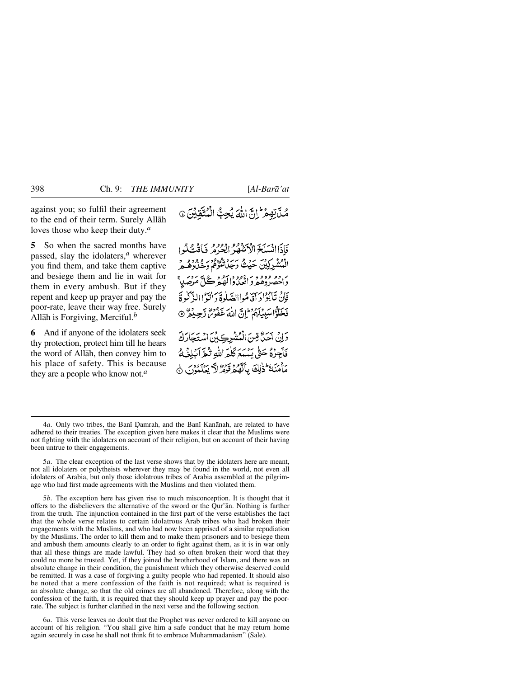against you; so fulfil their agreement to the end of their term. Surely Allåh loves those who keep their duty.*<sup>a</sup>*

**5** So when the sacred months have passed, slay the idolaters,*<sup>a</sup>* wherever you find them, and take them captive and besiege them and lie in wait for them in every ambush. But if they repent and keep up prayer and pay the poor-rate, leave their way free. Surely Allåh is Forgiving, Merciful.*<sup>b</sup>*

**6** And if anyone of the idolaters seek thy protection, protect him till he hears the word of Allåh, then convey him to his place of safety. This is because they are a people who know not.*<sup>a</sup>*

فَأَذَاانْسَلَخَ الْأَتَّةُ فَكُرٌ الْحُرُهُ فَأَقْتَلُوا ادُوَّد کردس سَنْدُ کُرِ سَرَد وودو و و و و و و<br>المُشْرِکِین حَیْثُ وَجَلَاتْتُوْفُمْ وَخَلُارْهُ هُ بر دو ودو د به دوه در دو .<br>د احصردهمرد افعادا لهمرگل مرضلا فَإِنْ تَأْبُوْا دِ آمَّاهُواالصَّلْوةُ دَانِيُوا الزَّكْبِرِ ةَ فَخَلُّوْاسَبِيبِكُمُ إِنَّ اللَّهَ عَفُوسٌ رَّحِيمُوْ 9

وَإِنْ آَحَنُّ مِّنَ الْمُشْرِكِينَ اسْتَجَارَكَ فَأَجِرْهُ حَتَّى يَسْمَعَ كَلَّمَ اللَّهِ تَكُرَّ أَبْلِغُكُ مَأْمَنَكُمْ ذٰلِكَ بِأَبَيْهِ وَبَرْدٌ لَا يَعْلَمُونَ ۞

5*a*. The clear exception of the last verse shows that by the idolaters here are meant, not all idolaters or polytheists wherever they may be found in the world, not even all idolaters of Arabia, but only those idolatrous tribes of Arabia assembled at the pilgrimage who had first made agreements with the Muslims and then violated them.

5*b*. The exception here has given rise to much misconception. It is thought that it offers to the disbelievers the alternative of the sword or the Qur'ån. Nothing is farther from the truth. The injunction contained in the first part of the verse establishes the fact that the whole verse relates to certain idolatrous Arab tribes who had broken their engagements with the Muslims, and who had now been apprised of a similar repudiation by the Muslims. The order to kill them and to make them prisoners and to besiege them and ambush them amounts clearly to an order to fight against them, as it is in war only that all these things are made lawful. They had so often broken their word that they could no more be trusted. Yet, if they joined the brotherhood of Islåm, and there was an absolute change in their condition, the punishment which they otherwise deserved could be remitted. It was a case of forgiving a guilty people who had repented. It should also be noted that a mere confession of the faith is not required; what is required is an absolute change, so that the old crimes are all abandoned. Therefore, along with the confession of the faith, it is required that they should keep up prayer and pay the poorrate. The subject is further clarified in the next verse and the following section.

6*a*. This verse leaves no doubt that the Prophet was never ordered to kill anyone on account of his religion. "You shall give him a safe conduct that he may return home again securely in case he shall not think fit to embrace Muhammadanism" (Sale).

<sup>4</sup>*a*. Only two tribes, the Bani Damrah, and the Bani Kanānah, are related to have adhered to their treaties. The exception given here makes it clear that the Muslims were not fighting with the idolaters on account of their religion, but on account of their having been untrue to their engagements.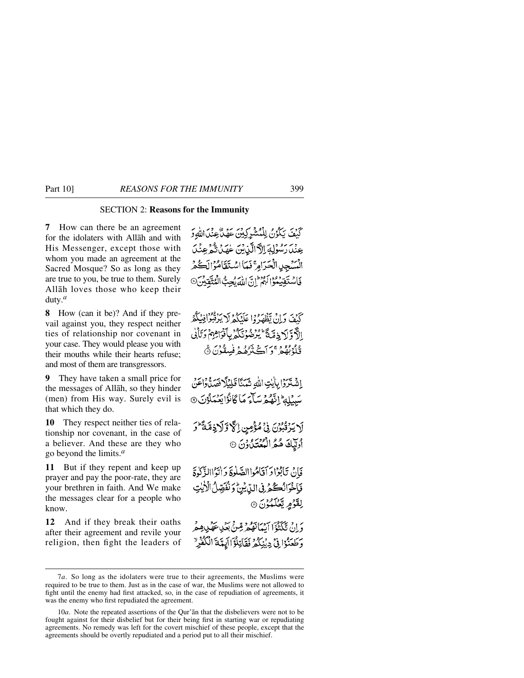### SECTION 2: **Reasons for the Immunity**

**7** How can there be an agreement for the idolaters with Allåh and with His Messenger, except those with whom you made an agreement at the Sacred Mosque? So as long as they are true to you, be true to them. Surely Allåh loves those who keep their duty.*<sup>a</sup>*

**8** How (can it be)? And if they prevail against you, they respect neither ties of relationship nor covenant in your case. They would please you with their mouths while their hearts refuse; and most of them are transgressors.

**9** They have taken a small price for the messages of Allåh, so they hinder (men) from His way. Surely evil is that which they do.

**10** They respect neither ties of relationship nor covenant, in the case of a believer. And these are they who go beyond the limits.*<sup>a</sup>*

**11** But if they repent and keep up prayer and pay the poor-rate, they are your brethren in faith. And We make the messages clear for a people who know.

**12** And if they break their oaths after their agreement and revile your religion, then fight the leaders of كَنْفَ يَكْوُنُ لِلْمُشْرِكِينَ عَهْدٌ عِنْدَاللَّهِ وَ عِنْدَ رَسُوْلِهَ إِلَّا الَّذِيْنَ عَهَدَ تَّمْ عِنْدَ الْمَسْجِيبِ الْحَرَامِ ۚ فَمَا اسْتَقَامُوْالَكُمْ فَأَسْتَقِيْهُوَالَهُمْ إِنَّ إِلَيْهَ بُحِبٌّ الْمُتَّقِيدُ  $\odot$ .

كَنْفَ دَلِنْ يَظْهَرُوْا عَلَيْكُمْ لَا يَزْقُبُوْافِيْكُمْ الأَّوَّ لَا دِمَّةً ۚ يُرْضُونَكُمْ بِأَنْوَاهِهِمْ دَيَّاْيِي قُلُوْبُهُمْ وَآڪَتَرُهُمْ فُسِقُوْنَ ۞

إِشْتَرَدًا بِإِيْتِ اللَّهِ نَعَكَّا قَلِيْلًا فَصَلُّهُوَاعَنْ سَيْلِهِ اتَّهُمْ سَأَءَ مَا كَانُوْا يَعْمَلُوْنَ ۞

لَا يَرْتُبُوْنَ فِي مُؤْمِنٍ إِلَّ وَلَاذِمَّةً وَ أُولَّيْكَ هُمُّ الْعُثَنَّاوُنَ ۞

فَانْ تَأْبُوْا دَ آقَامُوا الصَّلْوةَ دَ أَتَوْاالذَّكْرِةَ فَبَاخْرَانُكُمْرِنِي الدِّيْنُ وَنُفَصِّلُ الْأَيْتِ لِقَوْمٍ يَّعۡلَمُوۡنَ ۞

دَ إِنْ تَكَنُّدُوْا أَنْهَانَفُهُمْ قِينٌ بِعَيْدِعَهُ بِدِهِ مَ وَطَعَنُوْا فِي دِيْنِكُمْ فَقَاتِلُوْٓالَهَدَّةَ الْكُفُّرِ ۗ

<sup>7</sup>*a*. So long as the idolaters were true to their agreements, the Muslims were required to be true to them. Just as in the case of war, the Muslims were not allowed to fight until the enemy had first attacked, so, in the case of repudiation of agreements, it was the enemy who first repudiated the agreement.

<sup>10</sup>*a*. Note the repeated assertions of the Qur'ån that the disbelievers were not to be fought against for their disbelief but for their being first in starting war or repudiating agreements. No remedy was left for the covert mischief of these people, except that the agreements should be overtly repudiated and a period put to all their mischief.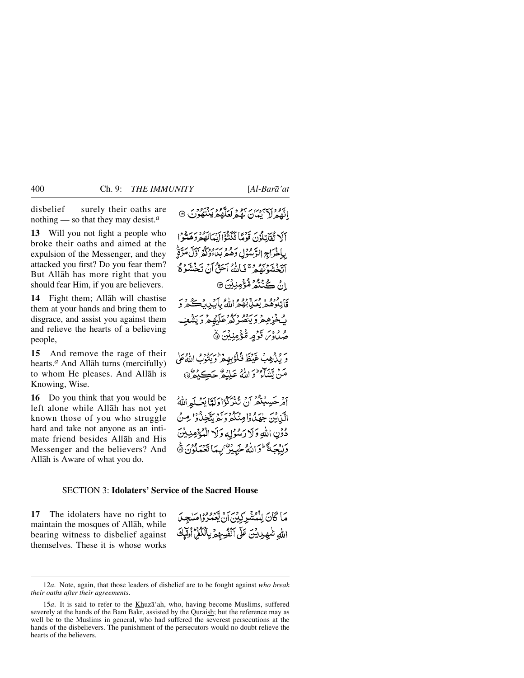disbelief — surely their oaths are nothing — so that they may desist.*<sup>a</sup>*

**13** Will you not fight a people who broke their oaths and aimed at the expulsion of the Messenger, and they attacked you first? Do you fear them? But Allåh has more right that you should fear Him, if you are believers.

**14** Fight them; Allåh will chastise them at your hands and bring them to disgrace, and assist you against them and relieve the hearts of a believing people,

**15** And remove the rage of their hearts.*<sup>a</sup>* And Allåh turns (mercifully) to whom He pleases. And Allåh is Knowing, Wise.

**16** Do you think that you would be left alone while Allåh has not yet known those of you who struggle hard and take not anyone as an intimate friend besides Allåh and His Messenger and the believers? And Allåh is Aware of what you do.

اتَّهُمْ لَأَأَيْنَانَ لَهُمْ لَعَلَّهُمْ يَذْتِهُوْنَ ۞

آلَا تُقَاتِلُوْنَ قَوْمًا تَكَثُوْا إِنَّهَانُهُمْ دَهَنُّوْا بِإِخْرَاجِ الرَّسْوُلِي وَهُمْ بِدَءٍ وَلَا اَوَلَٰكَمَ لَوَّةً أَتَّخْشَوْنَ مِنْ تَأْلَمُّهُ آَحَقُّ أَنْ تَخْشَوْهُمْ انْ ڪُنْٽُمُ مُّؤْمِنِيْنَ ۞ قَاتِلُوْهُمْ يُعَنِّيْهُمُ اللَّهُ بِأَيْدِيدَ كُمْ وَ بُخْزِهِمْ وَيَنْصُرْكُمْ عَلَيْهِمْ وَيَشْعِبُ صْلُاوْسَ قَوْمٍ مُّؤْمِنِيْنَ ۞

وَ رَبَّهُ هِبْ غَيْظَ قَبْلُوْبِهِ مِرَّ وَ رَبُّوبُ اللَّهُ عَلَى مَنْ يَتَنَاءُ ۖ وَاللَّهُ عَلِيْهِ ۗ حَڪِيْهُمْ ۞

أَمْرِ حَسِبْتُكُّرُ أَنْ تَنْزَكُوْا دَلِيًّا يَعْبِكُمُ اللَّهُ الَّذِبْسَ جٰهَدُهُ! مِنْكُمْ وَلَمْ يَتَّخِذُهُ! مِنْ دُوۡنِ اللَّهِ وَلَا رَسُوۡلِهِ وَلَا الۡمُؤۡفِرِينَ وَلِيُجَةَ ۖ وَاللَّهُ خَبِيْرٌ ۢ بِمَا تَعۡمَلُوۡنَ ﴾

### SECTION 3: **Idolaters' Service of the Sacred House**

**17** The idolaters have no right to maintain the mosques of Allåh, while bearing witness to disbelief against themselves. These it is whose works

مَا كَانَ لِلْمُشْرِكِدْنَ أَنْ يَعْمَرُوْامَسْعِيلَ اللهِ شَهِيدِيْنَ عَلَى ٱنْفُسِهِمْ بِالْكُفْرَ أُولَيْكَ

<sup>12</sup>*a*. Note, again, that those leaders of disbelief are to be fought against *who break their oaths after their agreements*.

<sup>15</sup>*a*. It is said to refer to the Khuzå'ah, who, having become Muslims, suffered severely at the hands of the Bani Bakr, assisted by the Quraish; but the reference may as well be to the Muslims in general, who had suffered the severest persecutions at the hands of the disbelievers. The punishment of the persecutors would no doubt relieve the hearts of the believers.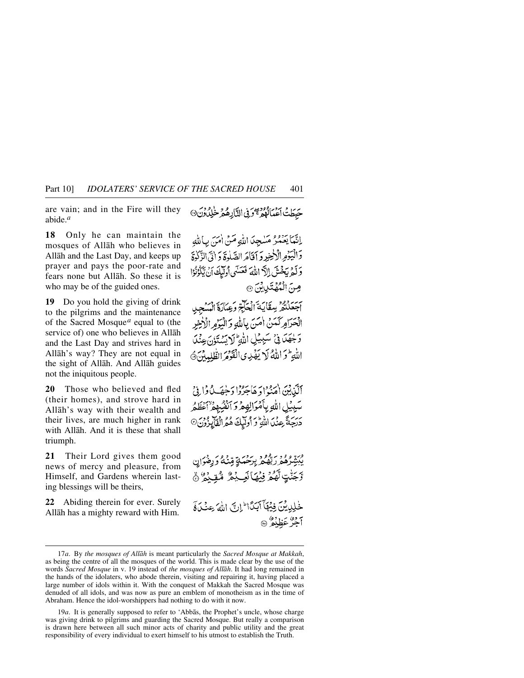are vain; and in the Fire will they abide.*<sup>a</sup>*

**18** Only he can maintain the mosques of Allåh who believes in Allåh and the Last Day, and keeps up prayer and pays the poor-rate and fears none but Allåh. So these it is who may be of the guided ones.

**19** Do you hold the giving of drink to the pilgrims and the maintenance of the Sacred Mosque*<sup>a</sup>* equal to (the service of) one who believes in Allåh and the Last Day and strives hard in Allåh's way? They are not equal in the sight of Allåh. And Allåh guides not the iniquitous people.

**20** Those who believed and fled (their homes), and strove hard in Allåh's way with their wealth and their lives, are much higher in rank with Allåh. And it is these that shall triumph.

**21** Their Lord gives them good news of mercy and pleasure, from Himself, and Gardens wherein lasting blessings will be theirs,

**22** Abiding therein for ever. Surely Allåh has a mighty reward with Him.

حَبَطَتُ اَعْمَالُوْمُ مِنْ النَّارِهُ مِرْ خَلِدُونَ ۞

إِنَّمَا يَعْمُرُ مَسْجِدَ اللَّهِ مَنْ أُمَنَ بِبَالِلَّهِ وَالْبَيْوَمِ الْأَخِيرِ وَ إِقَامَ الصَّلْوَةَ وَ إِنِّي الزَّكْرَةَ وَكَمْ يَخْشَ إِلاَّ اللَّهَ فَعَسَى أُولَيْكَ أَنْ يَكُوْنُوْا صِنَ الْمُهْتَدِيِينَ @

بر رود.<br>اجعلتمر يعقاية العَاجِّ وَعِكَارَةَ الْمَسْجِبِ الْحَرَامِرَكَمَنْ امْنَ بِاللَّهِ وَالْيَرُمِ الْأَخِرِ وَلَجِهَلَ فِي سَبِيلِ اللَّهِ كَلِيَسْتَؤِنَّ عِنْدَ اللَّهِ لَمْ اللَّهُ لَا يَفْدِى الْفَوْمَ الظُّلِيدُنَّ ﴾

أَلَّبْنِيْنَ (مَنْوُادَ هَاجَرُوْا دَخِصَـٰ بِٱ فِي ا سَبِيْلِ اللَّهِ بِأَمْوَالِهِمْ وَ ٱنْفُسُهِمْ أَعْظَمُ يَهُمَ عَنْدَ اللَّهِ وَ أُولَيْكَ هُمُّ الْفَايِزُونَ۞

<sup>ور</sup> تو و بر هو د برور.<br>يبشِّرُهُمْرَ رَبَّهُمْ بِرَحْمَةٍ قِنْهُ وَ رِضْوَانٍ رَّجَنُّتٍ لَّهُمْ فِيْهَا نَعِيْجٌ مُّقِيْمٌ ۚ أَنَّ خْلِدِيْنَ فِيَهْلَآ أَبَدًا ۖ إِنَّ إِلَٰهَ عِنۡدَآ ۚ وَ 7ف<sup>9</sup>عَظِيْعُ ®

<sup>17</sup>*a*. By *the mosques of Allåh* is meant particularly the *Sacred Mosque at Makkah*, as being the centre of all the mosques of the world. This is made clear by the use of the words *Sacred Mosque* in v. 19 instead of *the mosques of Allåh*. It had long remained in the hands of the idolaters, who abode therein, visiting and repairing it, having placed a large number of idols within it. With the conquest of Makkah the Sacred Mosque was denuded of all idols, and was now as pure an emblem of monotheism as in the time of Abraham. Hence the idol-worshippers had nothing to do with it now.

<sup>19</sup>*a*. It is generally supposed to refer to 'Abbås, the Prophet's uncle, whose charge was giving drink to pilgrims and guarding the Sacred Mosque. But really a comparison is drawn here between all such minor acts of charity and public utility and the great responsibility of every individual to exert himself to his utmost to establish the Truth.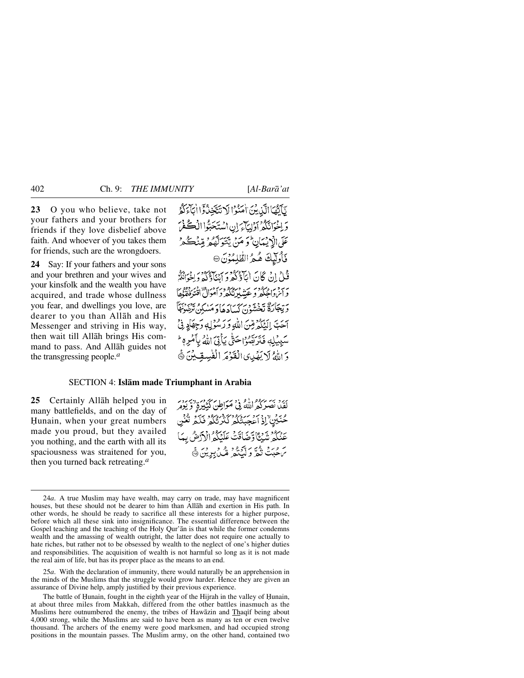**23** O you who believe, take not your fathers and your brothers for friends if they love disbelief above faith. And whoever of you takes them for friends, such are the wrongdoers.

**24** Say: If your fathers and your sons and your brethren and your wives and your kinsfolk and the wealth you have acquired, and trade whose dullness you fear, and dwellings you love, are dearer to you than Allåh and His Messenger and striving in His way, then wait till Allåh brings His command to pass. And Allåh guides not the transgressing people.*<sup>a</sup>*

يَآتِهَا الَّذِينَ اٰمَنُوۡا لَا نَتَّخِذُوۡٓا اٰبَآءَكُمۡ وَاخْوَانَكُمْ أَوْلِيَآءَ إِنِ اسْتَحَبُّوا الْڪُفْرَ عَلَى الْإِيْمَانِ وَ مَنْ يَتَوَلَّهُمْ قِنْكُمْ وَ فَأُولَيْكَ هُمُ الظَّلِمُوْنَ ۞ فَيْلُ إِنْ كَانَ ابْآؤُكُوْمَ كَبِيرَةٍ مُؤْمَرُ وَإِخْوَانُكُمْ به به در مردوبه به در در در در ۱۴۵ مربوره<br>و این داخله و عیسیرینگه و اموال افترفههها ئەيجارة تخشون كسادھادىملكن ترضوعه آَحَبَّ إِلَيْكُمْ مِّنَ اللَّهِ وَرَسُوْلِهِ وَجِهَادٍ فِيَّ سَبِيبِكِهِ فَتَرَبَّصُوۡاحَتَّى بِبَأَتِيَ اللَّهُ بِأَمۡرِهٖ ۖ وَ اللَّهُ لَا يَفْدِى الْغَوْمَرِ الْفُبِسِقِينَ ﴾

### SECTION 4: **Islåm made Triumphant in Arabia**

**25** Certainly Allåh helped you in many battlefields, and on the day of Hunain, when your great numbers made you proud, but they availed you nothing, and the earth with all its spaciousness was straitened for you, then you turned back retreating.*<sup>a</sup>*

يَّةٍ بِهِ يَرْدُّمُ اللَّهُ فِي مَوَاطِنٌ كَثِيْبِرَةٍ وَيَرْمَرُ مُنَكِّنٌ إِذْ اَءَ بِرَيْءُ كَذَبَنُكُمْ فَلَمْ تَغْنِي عَنْكُمْ شَنْتَاوَّضَافَتْ عَلَيْكُمُّ الْأَرْضُ بِيَا ئے ورد ہی کے بیوو پر ور ور ہی<br>برگت تقریر لیکنڈ کل برین کا

25*a*. With the declaration of immunity, there would naturally be an apprehension in the minds of the Muslims that the struggle would grow harder. Hence they are given an assurance of Divine help, amply justified by their previous experience.

The battle of Hunain, fought in the eighth year of the Hijrah in the valley of Hunain, at about three miles from Makkah, differed from the other battles inasmuch as the Muslims here outnumbered the enemy, the tribes of Hawāzin and Thaqif being about 4,000 strong, while the Muslims are said to have been as many as ten or even twelve thousand. The archers of the enemy were good marksmen, and had occupied strong positions in the mountain passes. The Muslim army, on the other hand, contained two

<sup>24</sup>*a*. A true Muslim may have wealth, may carry on trade, may have magnificent houses, but these should not be dearer to him than Allåh and exertion in His path. In other words, he should be ready to sacrifice all these interests for a higher purpose, before which all these sink into insignificance. The essential difference between the Gospel teaching and the teaching of the Holy Qur'ån is that while the former condemns wealth and the amassing of wealth outright, the latter does not require one actually to hate riches, but rather not to be obsessed by wealth to the neglect of one's higher duties and responsibilities. The acquisition of wealth is not harmful so long as it is not made the real aim of life, but has its proper place as the means to an end.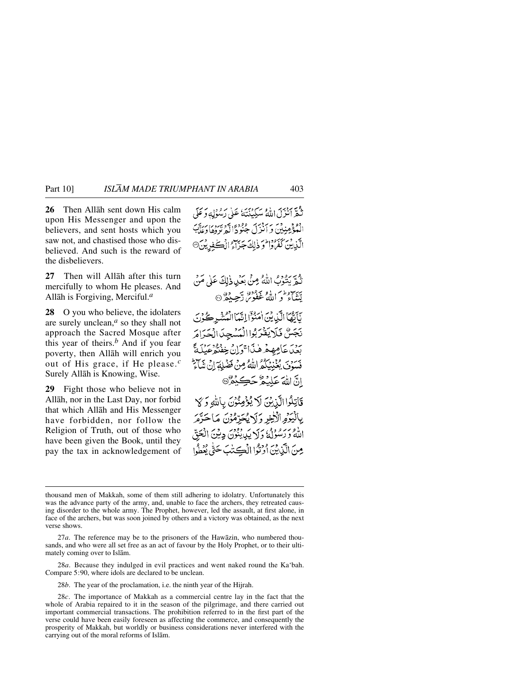**26** Then Allåh sent down His calm upon His Messenger and upon the believers, and sent hosts which you saw not, and chastised those who disbelieved. And such is the reward of the disbelievers.

**27** Then will Allåh after this turn mercifully to whom He pleases. And Allåh is Forgiving, Merciful.*<sup>a</sup>*

**28** O you who believe, the idolaters are surely unclean,*<sup>a</sup>* so they shall not approach the Sacred Mosque after this year of theirs.*<sup>b</sup>* And if you fear poverty, then Allåh will enrich you out of His grace, if He please.*<sup>c</sup>* Surely Allåh is Knowing, Wise.

**29** Fight those who believe not in Allåh, nor in the Last Day, nor forbid that which Allåh and His Messenger have forbidden, nor follow the Religion of Truth, out of those who have been given the Book, until they pay the tax in acknowledgement of ه سردبه سر در در این سر در در در دارد.<br>تنقر انتراکی الله سبکنندهٔ علی رسوله و علی انْمُؤْمِنِيْنَ وَ ٱنْزَلَ جُنُوْدَ إِلَّهِ بَهُرُومَ بِرَبَّيَ الَّذِينَ كَفَرُوْا مُوَ ذٰلِكَ جَزَاءُ الْڪَفِرِيْنَ®

نُبِّعٌ بِنُنُوْبُ اللَّهُ مِنْ بِعَبْدِذِلِكَ عَلَى مَنْ يب وطن (و عم<sup>وده)</sup> ديجيده صحيحة با

نَأَبُّهَا الَّذِينَ اٰمَنُوٓٓا إِنَّهَآالۡمُنۡشَرِ كُوۡدِيَ نَجَسٌ فَلَا يَفْرَبُواالْمَسْجِدَالْحَدَامَ ردس عامِهِهْ هٰذا قوان خِفتُهُ عَيِلَةً بِسَوْمَ يُغْنِيَكُمُّ اللَّهُ مِنْ فَضْلِهَ إِنْ نَهَاجٌ انَّ اللَّهَ عَلِيْمٌ حَكِيْمٌ ®

قَاتِلُوا الَّذِينَ لَا يُؤْمِنُونَ بِأَلَّٰهِ وَلَا يالْيَوْمِ الْأَخِرِ وَلَا يُحَرِّمُوْنَ مَا حَرَّمَ اللَّهُ وَرَسُوْلُهُ وَلَا يَدِيدُبُوْنَ دِينَ الْعَقِّ مِنَ الَّذِينَ ٱوۡتَوۡا الۡڪِتَٰبَ حَتَّىٰ يُعۡطُوا

28*a*. Because they indulged in evil practices and went naked round the Ka'bah. Compare 5:90, where idols are declared to be unclean.

28*b*. The year of the proclamation, i.e. the ninth year of the Hijrah.

thousand men of Makkah, some of them still adhering to idolatry. Unfortunately this was the advance party of the army, and, unable to face the archers, they retreated causing disorder to the whole army. The Prophet, however, led the assault, at first alone, in face of the archers, but was soon joined by others and a victory was obtained, as the next verse shows.

<sup>27</sup>*a*. The reference may be to the prisoners of the Hawåzin, who numbered thousands, and who were all set free as an act of favour by the Holy Prophet, or to their ultimately coming over to Islåm.

<sup>28</sup>*c*. The importance of Makkah as a commercial centre lay in the fact that the whole of Arabia repaired to it in the season of the pilgrimage, and there carried out important commercial transactions. The prohibition referred to in the first part of the verse could have been easily foreseen as affecting the commerce, and consequently the prosperity of Makkah, but worldly or business considerations never interfered with the carrying out of the moral reforms of Islåm.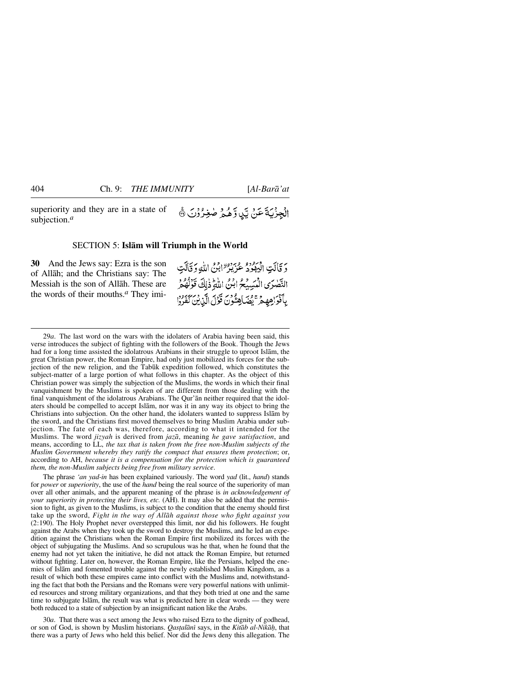superiority and they are in a state of subjection.*<sup>a</sup>*

# الْجِزْيَةَ عَنْ يَّنِ وَّهُمْ صٰغِرُوْنَ ﴾

#### SECTION 5: **Islåm will Triumph in the World**

**30** And the Jews say: Ezra is the son of Allåh; and the Christians say: The Messiah is the son of Allåh. These are the words of their mouths.*<sup>a</sup>* They imiدَ قَالَتِ البِهْدُدُ عَزِيزٌ إِبْنُ اللَّهِ وَقَالَتِ النَّصْرَى الْمَسِيْحُ ابْنُ اللَّهِ ذٰلِكَ قَوْلُهُمْ بِٱفْوَاهِهِمْ ۚ يُضَاهِئُونَ قَوْلَ الَّذِينَ كَعْرُوْا

29*a*. The last word on the wars with the idolaters of Arabia having been said, this verse introduces the subject of fighting with the followers of the Book. Though the Jews had for a long time assisted the idolatrous Arabians in their struggle to uproot Islåm, the great Christian power, the Roman Empire, had only just mobilized its forces for the subjection of the new religion, and the Tab∂k expedition followed, which constitutes the subject-matter of a large portion of what follows in this chapter. As the object of this Christian power was simply the subjection of the Muslims, the words in which their final vanquishment by the Muslims is spoken of are different from those dealing with the final vanquishment of the idolatrous Arabians. The Qur'ån neither required that the idolaters should be compelled to accept Islåm, nor was it in any way its object to bring the Christians into subjection. On the other hand, the idolaters wanted to suppress Islåm by the sword, and the Christians first moved themselves to bring Muslim Arabia under subjection. The fate of each was, therefore, according to what it intended for the Muslims. The word *jizyah* is derived from *jazå*, meaning *he gave satisfaction*, and means, according to LL, *the tax that is taken from the free non-Muslim subjects of the Muslim Government whereby they ratify the compact that ensures them protection*; or, according to AH, *because it is a compensation for the protection which is guaranteed them, the non-Muslim subjects being free from military service*.

The phrase *'an yad-in* has been explained variously. The word *yad* (lit., *hand*) stands for *power* or *superiority*, the use of the *hand* being the real source of the superiority of man over all other animals, and the apparent meaning of the phrase is *in acknowledgement of your superiority in protecting their lives, etc.* (AH). It may also be added that the permission to fight, as given to the Muslims, is subject to the condition that the enemy should first take up the sword, *Fight in the way of Allåh against those who fight against you* (2:190). The Holy Prophet never overstepped this limit, nor did his followers. He fought against the Arabs when they took up the sword to destroy the Muslims, and he led an expedition against the Christians when the Roman Empire first mobilized its forces with the object of subjugating the Muslims. And so scrupulous was he that, when he found that the enemy had not yet taken the initiative, he did not attack the Roman Empire, but returned without fighting. Later on, however, the Roman Empire, like the Persians, helped the enemies of Islåm and fomented trouble against the newly established Muslim Kingdom, as a result of which both these empires came into conflict with the Muslims and, notwithstanding the fact that both the Persians and the Romans were very powerful nations with unlimited resources and strong military organizations, and that they both tried at one and the same time to subjugate Islåm, the result was what is predicted here in clear words — they were both reduced to a state of subjection by an insignificant nation like the Arabs.

30*a*. That there was a sect among the Jews who raised Ezra to the dignity of godhead, or son of God, is shown by Muslim historians. *Qastalānī* says, in the *Kitāb al-Nikāh*, that there was a party of Jews who held this belief. Nor did the Jews deny this allegation. The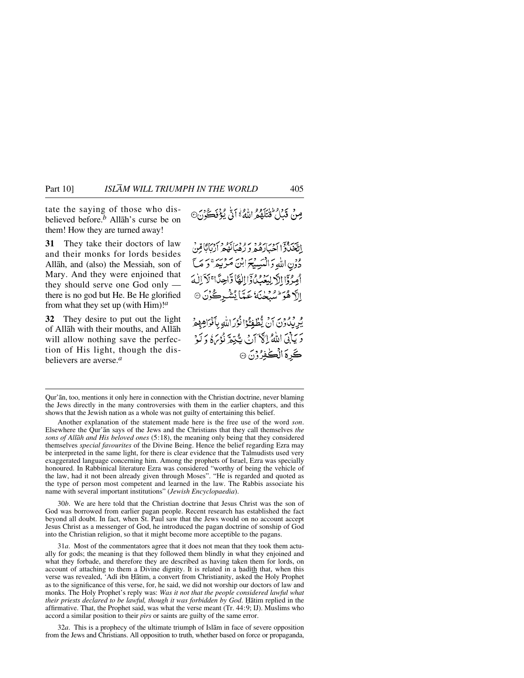tate the saying of those who disbelieved before.*<sup>b</sup>* Allåh's curse be on them! How they are turned away!

**31** They take their doctors of law and their monks for lords besides Allåh, and (also) the Messiah, son of Mary. And they were enjoined that they should serve one God only there is no god but He. Be He glorified from what they set up (with Him)!*<sup>a</sup>*

**32** They desire to put out the light of Allåh with their mouths, and Allåh will allow nothing save the perfection of His light, though the disbelievers are averse.*<sup>a</sup>*

مِنْ قَدَامٌ فَتَلَقُمُ اللَّهُ ۚ أَنَّي لَؤُفَكُ ُنَ مِنْ

بِسبه دِس دِين و په دِه دِين و دِين گاهِنْ<br>اِنْتَخْبادُا اَحْبَارَهُمْ وَ رُهْبَانَهُمْ اَرْبَابًا مِّنْ دْوْنِ اللَّهِ وَالْمَبِيبِيَّةَ ابْنَ مَرْبِيدٌ ۚ وَ مَبَّ أَمِدْقَا الْأَرِيْبَعْيُكُوْٓا الْفَا وَّاحِدًا ۚ لَاَ الْهَ ٳٳڒ ۿؙۊ<sup>ؚٳ</sup>ڛؙڹڂٮؘة عَمَّا يُشْرِكُوْنَ ۞

يُرِيْدُونَ أَنْ يُطْفِئُوْا نُوْرَاتِيْهِ بِأَفْرَاهِهِمْ دَيَابِيَ اللَّهُ إِنَّيْ أَنْ يَتَبَعَّهُ نُؤْمَىٰ وَلَوْ كَرِهَ الْكُفِرُوْنَ ۞

Qur'ån, too, mentions it only here in connection with the Christian doctrine, never blaming the Jews directly in the many controversies with them in the earlier chapters, and this shows that the Jewish nation as a whole was not guilty of entertaining this belief.

Another explanation of the statement made here is the free use of the word *son*. Elsewhere the Qur'ån says of the Jews and the Christians that they call themselves *the sons of Allåh and His beloved ones* (5:18), the meaning only being that they considered themselves *special favourites* of the Divine Being. Hence the belief regarding Ezra may be interpreted in the same light, for there is clear evidence that the Talmudists used very exaggerated language concerning him. Among the prophets of Israel, Ezra was specially honoured. In Rabbinical literature Ezra was considered "worthy of being the vehicle of the law, had it not been already given through Moses". "He is regarded and quoted as the type of person most competent and learned in the law. The Rabbis associate his name with several important institutions" (*Jewish Encyclopaedia*).

30*b*. We are here told that the Christian doctrine that Jesus Christ was the son of God was borrowed from earlier pagan people. Recent research has established the fact beyond all doubt. In fact, when St. Paul saw that the Jews would on no account accept Jesus Christ as a messenger of God, he introduced the pagan doctrine of sonship of God into the Christian religion, so that it might become more acceptible to the pagans.

31*a*. Most of the commentators agree that it does not mean that they took them actually for gods; the meaning is that they followed them blindly in what they enjoined and what they forbade, and therefore they are described as having taken them for lords, on account of attaching to them a Divine dignity. It is related in a hadith that, when this verse was revealed, 'Adī ibn Ḥātim, a convert from Christianity, asked the Holy Prophet as to the significance of this verse, for, he said, we did not worship our doctors of law and monks. The Holy Prophet's reply was: *Was it not that the people considered lawful what their priests declared to be lawful, though it was forbidden by God.* Hatim replied in the affirmative. That, the Prophet said, was what the verse meant (Tr. 44:9; IJ). Muslims who accord a similar position to their *pirs* or saints are guilty of the same error.

32*a*. This is a prophecy of the ultimate triumph of Islåm in face of severe opposition from the Jews and Christians. All opposition to truth, whether based on force or propaganda,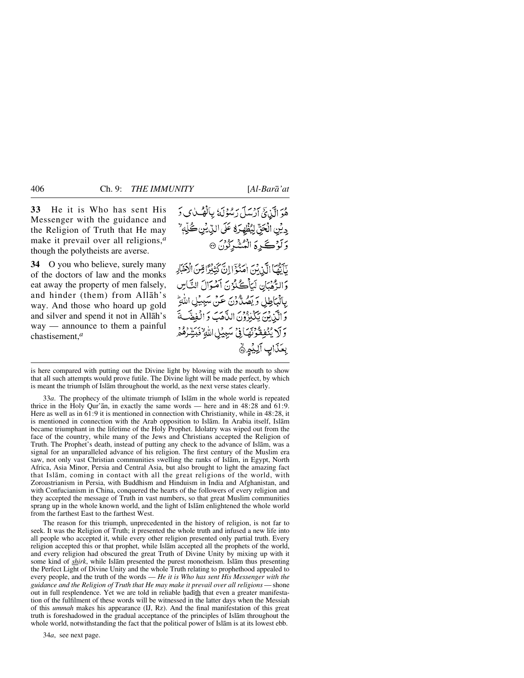**33** He it is Who has sent His Messenger with the guidance and the Religion of Truth that He may make it prevail over all religions,*<sup>a</sup>* though the polytheists are averse.

**34** O you who believe, surely many of the doctors of law and the monks eat away the property of men falsely, and hinder (them) from Allåh's way. And those who hoard up gold and silver and spend it not in Allåh's way — announce to them a painful chastisement,*<sup>a</sup>*

هُوَ الَّذِيَّ أَرْسَلَ رَسُوْلَهُ بِالْهُبِّلِ وَ دِيْنِ الْحَقِّ لِيُظْهِرَهُ عَلَى الدِّيْنِ كُلِّهِ ۚ وَلَوْكَرِهَ الْمُشْرِكُونَ ۞

يَآيَّهَا الَّذِينَ امَّنْوَا إِنَّ كَثِيْرًا مِّنَ الْأَخْبَادِ وَالرُّهُبَانِ لَيَأْكُلُوُنَ آَمُوَالَ النَّاسِ يِالْبَاطِلِ وَيَصُدُّونَ عَنْ سَبِيْلِ اللَّهِ وَالَّيْنِيْنَ يَكْبُرُونَ الدَّهَبَ وَالْفِضَّر وَلَا يُنْفِقُونَهَافِي سَبِيْلِ اللَّهِ فَبَيِّرَهُمْ بِعَذَابِ آلِيُمِنَّ

is here compared with putting out the Divine light by blowing with the mouth to show that all such attempts would prove futile. The Divine light will be made perfect, by which is meant the triumph of Islåm throughout the world, as the next verse states clearly.

33*a*. The prophecy of the ultimate triumph of Islåm in the whole world is repeated thrice in the Holy Qur' $\bar{a}$ n, in exactly the same words — here and in 48:28 and 61:9. Here as well as in 61:9 it is mentioned in connection with Christianity, while in 48:28, it is mentioned in connection with the Arab opposition to Islåm. In Arabia itself, Islåm became triumphant in the lifetime of the Holy Prophet. Idolatry was wiped out from the face of the country, while many of the Jews and Christians accepted the Religion of Truth. The Prophet's death, instead of putting any check to the advance of Islåm, was a signal for an unparalleled advance of his religion. The first century of the Muslim era saw, not only vast Christian communities swelling the ranks of Islåm, in Egypt, North Africa, Asia Minor, Persia and Central Asia, but also brought to light the amazing fact that Islåm, coming in contact with all the great religions of the world, with Zoroastrianism in Persia, with Buddhism and Hinduism in India and Afghanistan, and with Confucianism in China, conquered the hearts of the followers of every religion and they accepted the message of Truth in vast numbers, so that great Muslim communities sprang up in the whole known world, and the light of Islåm enlightened the whole world from the farthest East to the farthest West.

The reason for this triumph, unprecedented in the history of religion, is not far to seek. It was the Religion of Truth; it presented the whole truth and infused a new life into all people who accepted it, while every other religion presented only partial truth. Every religion accepted this or that prophet, while Islåm accepted all the prophets of the world, and every religion had obscured the great Truth of Divine Unity by mixing up with it some kind of *shirk*, while Islåm presented the purest monotheism. Islåm thus presenting the Perfect Light of Divine Unity and the whole Truth relating to prophethood appealed to every people, and the truth of the words — *He it is Who has sent His Messenger with the guidance and the Religion of Truth that He may make it prevail over all religions* — shone out in full resplendence. Yet we are told in reliable hadith that even a greater manifestation of the fulfilment of these words will be witnessed in the latter days when the Messiah of this *ummah* makes his appearance (IJ, Rz). And the final manifestation of this great truth is foreshadowed in the gradual acceptance of the principles of Islåm throughout the whole world, notwithstanding the fact that the political power of Islåm is at its lowest ebb.

34*a*, see next page.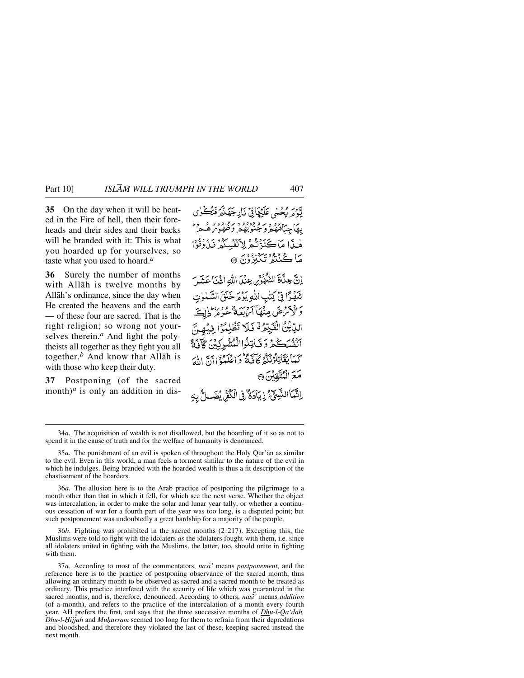**35** On the day when it will be heated in the Fire of hell, then their foreheads and their sides and their backs will be branded with it: This is what you hoarded up for yourselves, so taste what you used to hoard.*<sup>a</sup>*

**36** Surely the number of months with Allåh is twelve months by Allåh's ordinance, since the day when He created the heavens and the earth — of these four are sacred. That is the right religion; so wrong not yourselves therein.*<sup>a</sup>* And fight the polytheists all together as they fight you all together.*<sup>b</sup>* And know that Allåh is with those who keep their duty.

**37** Postponing (of the sacred month)<sup>*a*</sup> is only an addition in dis-

تَوْمَ بِحْسْي عَلَيْهَافِيّْ نَارِجَهَنَّهُ فَتُكُونِي بهاجياه ووسو ودوو وبرودود ومحرم هْنَا مَاكَنَزْتُمْ لِأَنْفُسِكُمْ نَنْ ذُنُوا مَاڪُنٽُو تَڳُنِوُنَ ۞ إِنَّ عِدَّاةَ الشَّهْوِّرِ، عِنْدَ اللَّهِ اثْنَا عَشَرَ تَنْهَرًا فِي كِتْبِ اللَّهِ يَوْمَرْخَلَقَ السَّمْوٰتِ دَالْدَمْنِ صَنْهَآاَمْ بَعَةٌ عُنُوهُ وَإِيْلَا الدِّيْنُ الْقَبِّعْهُ فَلَا تَظْلِمُوَا فِيْهِ انفسكه وتايلواالمشركين كأتئ كَمَا يُقَاتِلُونَكُمْ كَأَنَّكَةٌ وَاعْلَمُوْٓ آآَيَّ الْهَ مَعَ الْمُتَّفْنُنَ ۞ اِنَّمَا النَّبِيِّ ۚ زِيَادَةٌ ۚ فِى الْكُمْنِ يُضَالُّ بِهِ

36*a*. The allusion here is to the Arab practice of postponing the pilgrimage to a month other than that in which it fell, for which see the next verse. Whether the object was intercalation, in order to make the solar and lunar year tally, or whether a continuous cessation of war for a fourth part of the year was too long, is a disputed point; but such postponement was undoubtedly a great hardship for a majority of the people.

36*b*. Fighting was prohibited in the sacred months (2:217). Excepting this, the Muslims were told to fight with the idolaters *as* the idolaters fought with them, i.e. since all idolaters united in fighting with the Muslims, the latter, too, should unite in fighting with them.

<sup>34</sup>*a*. The acquisition of wealth is not disallowed, but the hoarding of it so as not to spend it in the cause of truth and for the welfare of humanity is denounced.

<sup>35</sup>*a*. The punishment of an evil is spoken of throughout the Holy Qur'ån as similar to the evil. Even in this world, a man feels a torment similar to the nature of the evil in which he indulges. Being branded with the hoarded wealth is thus a fit description of the chastisement of the hoarders.

<sup>37</sup>*a*. According to most of the commentators, *nasß'* means *postponement*, and the reference here is to the practice of postponing observance of the sacred month, thus allowing an ordinary month to be observed as sacred and a sacred month to be treated as ordinary. This practice interfered with the security of life which was guaranteed in the sacred months, and is, therefore, denounced. According to others, *nasß'* means *addition* (of a month), and refers to the practice of the intercalation of a month every fourth year. AH prefers the first, and says that the three successive months of *Dhu-l-Qa'dah, Dhu-l-Hijjah* and *Muḥarram* seemed too long for them to refrain from their depredations and bloodshed, and therefore they violated the last of these, keeping sacred instead the next month.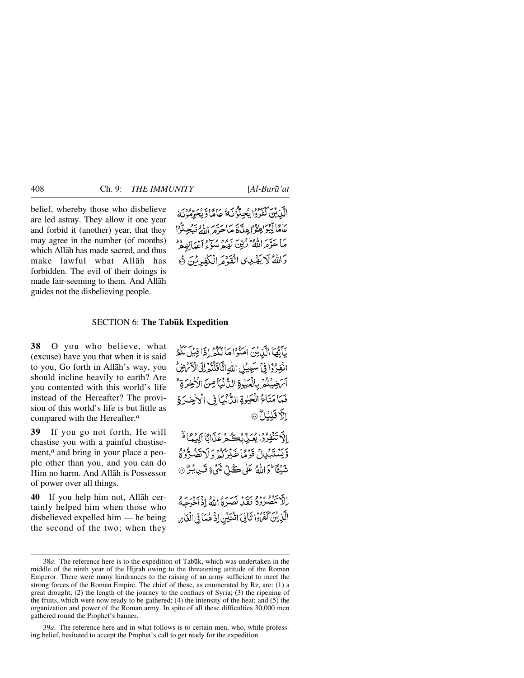belief, whereby those who disbelieve are led astray. They allow it one year and forbid it (another) year, that they may agree in the number (of months) which Allåh has made sacred, and thus make lawful what Allåh has forbidden. The evil of their doings is made fair-seeming to them. And Allåh guides not the disbelieving people.

الآن يْنَ كَفَرُوْا يُجِلُّوُنَهُ عَامَاً وَيُجَرِّمُونَهُ عَامًا لِّيُزَاطِعُوْاعِدًاهُ مَاحَرَّهُ اللَّهُ فَيَجِيدُّوْا م سر الاطعیت برود و سویر اسده<br>ما حرّه اللّهُ زَمِّین لهمه سُؤءِ اعْبالِهِمْ وَاللَّهُ لَا يَهْدِى الْقَوْمَ الْكُفِّهِ نَنَ ﴾

#### SECTION 6: **The Tab∂k Expedition**

**38** O you who believe, what (excuse) have you that when it is said to you, Go forth in Allåh's way, you should incline heavily to earth? Are you contented with this world's life instead of the Hereafter? The provision of this world's life is but little as compared with the Hereafter.*<sup>a</sup>*

**39** If you go not forth, He will chastise you with a painful chastisement,*<sup>a</sup>* and bring in your place a people other than you, and you can do Him no harm. And Allåh is Possessor of power over all things.

**40** If you help him not, Allåh certainly helped him when those who disbelieved expelled him — he being the second of the two; when they يَأَيُّهَا الَّذِيْنَ اٰمَنُوْا مَا لَكُمْ إِذَا قِيْلَ لَكُمُ انْفِرُدًا فِي سَبِيبُلِ اللَّهِ اتَّافَلَنْهُمْ إِلَى الْأَمْرَضِ آَسَ ضِيْتُمْرِ بِالْحَيْوِةِ الدُّنْيَا صِنَ الْأَخِرَةِ ۚ فَمَا مَتَاءً الْجَبْرِةِ الدُّنْيَا فِي الْاخِسَرَةِ إِلاَّ قَلِيُلُّ ۞

الْكَ تَنْفِرُوْا يُعَيِّدْ يُڪْمِرْ عَذَانَا أَلِيْهِمَّا لَهُ ا وِّيَسۡنَبۡبُالۡ قَوۡمًا غَذۡبُرُکُمۡ وَ لَا نَصُدُّوۡ وَ نتَبِيًّا لَمْ اللَّهُ عَلَى كُلِّ مَّنْ تَنَيْءٍ قَبِينَ بِيَنَّ ۞

الأتنصروه فتدريبه بمرءاله إذبر برء الَّذِينَ كَفَرُوا ثَانِيَ اتْنَبَيْنِ إِذْ هُمَاً فِي الْغَارِ

39*a*. The reference here and in what follows is to certain men, who, while professing belief, hesitated to accept the Prophet's call to get ready for the expedition.

<sup>38</sup>*a*. The reference here is to the expedition of Tabūk, which was undertaken in the middle of the ninth year of the Hijrah owing to the threatening attitude of the Roman Emperor. There were many hindrances to the raising of an army sufficient to meet the strong forces of the Roman Empire. The chief of these, as enumerated by Rz, are: (1) a great drought; (2) the length of the journey to the confines of Syria; (3) the ripening of the fruits, which were now ready to be gathered; (4) the intensity of the heat; and (5) the organization and power of the Roman army. In spite of all these difficulties 30,000 men gathered round the Prophet's banner.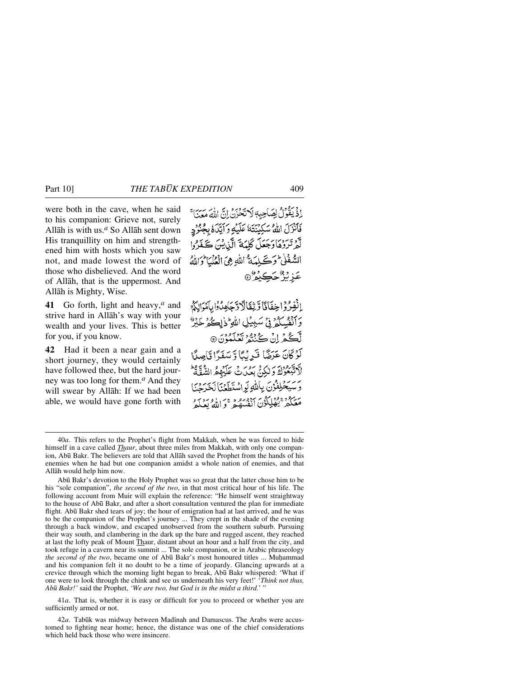were both in the cave, when he said to his companion: Grieve not, surely Allåh is with us.*<sup>a</sup>* So Allåh sent down His tranquillity on him and strengthened him with hosts which you saw not, and made lowest the word of those who disbelieved. And the word of Allåh, that is the uppermost. And Allåh is Mighty, Wise.

**41** Go forth, light and heavy,*<sup>a</sup>* and strive hard in Allåh's way with your wealth and your lives. This is better for you, if you know.

**42** Had it been a near gain and a short journey, they would certainly have followed thee, but the hard journey was too long for them.*<sup>a</sup>* And they will swear by Allåh: If we had been able, we would have gone forth with

اذْيَقُوْلُ لِصَاحِبِهِ لَاتَحْزَنُ إِنَّ اللَّهَ مَعَنَا؟ بِهِ بِهِ الأَوْسَكِينَتَهُ عَلَيْهِ وَآيَّدَهُ بِعِبْوَدٍ لَّهُ تَرَدُّهَا دَجَعَلَ كُلِّيَةَ الَّذِينَ ڪَفَدُّواْ السُّغْلُيٌّ وَكَيْلَهَةٌ اللَّهِ هِيَ الْعُلْمَا تَوَاللَّهُ عَزِيْزٌ حَڪِيْمٌ ۞

انْفِرُدُ اخِفَانَا وَيْقَالَا دَّجَامِدُوْا بِأَمْرَالِكُمْ وَأَنْفُسِكُمْ فِيِّ سَبِيْلِ اللَّهِ ۖ ذٰاِڪُهُ خَيْرٌ لْكُمْ إِنْ كُنْتُهُ تَعْلَمُوْنَ @ لَوْكَانَ عَرَضًا فَرِيْبًا وَسَفَرًا قَاصِدًا لَّ يَسْتَوْلَةَ وَلَٰكِنَّ بِعَيْنَ تَلَيْهِمُ الشَّفَّةُ وسَيَحْلِفُوْنَ بِاللَّهِ لَوِ اسْتَطَعْنَا لَجَدَحْنَا مَعَكُمْ يَقْلِكُوْنَ أَنْفُسِهُ حَيَى الْعَرَبِ وَمَرَدٍ

41*a*. That is, whether it is easy or difficult for you to proceed or whether you are sufficiently armed or not.

42a. Tabūk was midway between Madīnah and Damascus. The Arabs were accustomed to fighting near home; hence, the distance was one of the chief considerations which held back those who were insincere.

<sup>40</sup>*a*. This refers to the Prophet's flight from Makkah, when he was forced to hide himself in a cave called *Thaur*, about three miles from Makkah, with only one companion, Ab∂ Bakr. The believers are told that Allåh saved the Prophet from the hands of his enemies when he had but one companion amidst a whole nation of enemies, and that Allåh would help him now.

Abū Bakr's devotion to the Holy Prophet was so great that the latter chose him to be his "sole companion", *the second of the two*, in that most critical hour of his life. The following account from Muir will explain the reference: "He himself went straightway to the house of Ab∂ Bakr, and after a short consultation ventured the plan for immediate flight. Abū Bakr shed tears of joy; the hour of emigration had at last arrived, and he was to be the companion of the Prophet's journey ... They crept in the shade of the evening through a back window, and escaped unobserved from the southern suburb. Pursuing their way south, and clambering in the dark up the bare and rugged ascent, they reached at last the lofty peak of Mount Thaur, distant about an hour and a half from the city, and took refuge in a cavern near its summit ... The sole companion, or in Arabic phraseology *the second of the two*, became one of Abū Bakr's most honoured titles ... Muhammad and his companion felt it no doubt to be a time of jeopardy. Glancing upwards at a crevice through which the morning light began to break, Abū Bakr whispered: 'What if one were to look through the chink and see us underneath his very feet!' '*Think not thus, Ab∂ Bakr!'* said the Prophet, *'We are two, but God is in the midst a third.*' "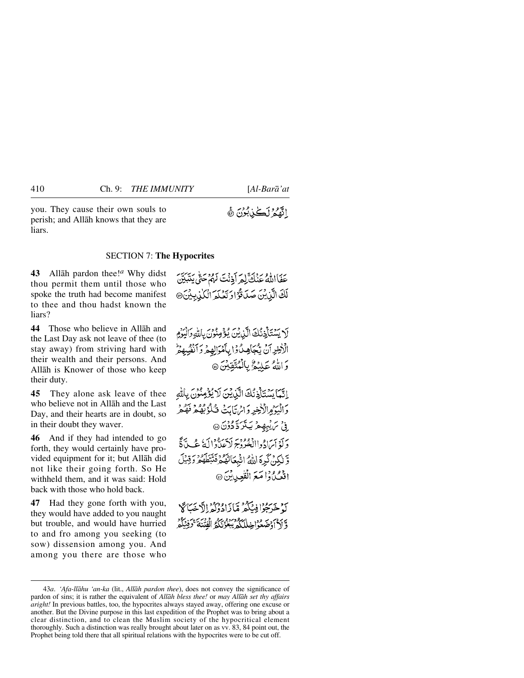you. They cause their own souls to perish; and Allåh knows that they are liars.

# اللَّهُمُ لَكُلْ بُوْنَ ﴾

#### SECTION 7: **The Hypocrites**

**43** Allåh pardon thee!*<sup>a</sup>* Why didst thou permit them until those who spoke the truth had become manifest to thee and thou hadst known the liars?

**44** Those who believe in Allåh and the Last Day ask not leave of thee (to stay away) from striving hard with their wealth and their persons. And Allåh is Knower of those who keep their duty.

**45** They alone ask leave of thee who believe not in Allåh and the Last Day, and their hearts are in doubt, so in their doubt they waver.

**46** And if they had intended to go forth, they would certainly have provided equipment for it; but Allåh did not like their going forth. So He withheld them, and it was said: Hold back with those who hold back.

**47** Had they gone forth with you, they would have added to you naught but trouble, and would have hurried to and fro among you seeking (to sow) dissension among you. And among you there are those who

عَفَااللَّهُ عَنْكَ لِعِرَ أَذِنْتَ لَهُمْ حَتَّى يَتَبَيَّنَ لَكَ الَّذِيْنَ صَدَقَوْ الْتَعْلَمَ الْكَلْدِيِيْنَ @

لَا يَسْتَأْذِنُكَ الَّذِيْنَ يُؤْمِنُونَ بِاللَّهِ وَالْيَوْمِ الْأَخِرِ آنْ يَّجَأِهِ لُ وَا بِأَمْرَالِهِمْ وَأَنْفُسِهِمْ وَاللَّهُ عَلَيْهُمْ بِالْمُتَّقِيِّنَ ۞

إِنَّمَا بِسَٰتَأَذِنُكَ الَّذِينَ لَا يُؤْمِنُونَ بِاللَّهِ وَالْبَيْرُوالْأَخِيرِ وَإِبْرَيْبَابَتْ قُبِلُوْ بُهُكُمْ فَفَكْحُر ِ فِي سَ يُبِهِجْهِ يَتَرَدَّدُوْنَ @ دَلَّهُ أَيَرَادُواالْغُرُوْجِ لَاَعِلَّادَالَهُ عُبِيَّةً فَي وَّ لَكِنْ كَرِهَ اللَّهُ اثْبِعَاتَهُمْ فَتَتَطَهُمْ وَقِيلَ اقعي ُذا مَعَ الْقُعِيدِينَ۞

كَ خَرَجُوْا فِينَكُمْ مَّازَادُدْدَكْهْ الْإِيضَاكَةِ وَّ أَدْ أَوْضَعُوْاخِلِلْكُمْ يَبْعَوْنَكُمُّ الْفُنْنَةَ ۚ كَوْنِيَكُمْ

<sup>43</sup>*a*. *'Afa-llåhu 'an-ka* (lit., *Allåh pardon thee*), does not convey the significance of pardon of sins; it is rather the equivalent of *Allåh bless thee!* or *may Allåh set thy affairs aright!* In previous battles, too, the hypocrites always stayed away, offering one excuse or another. But the Divine purpose in this last expedition of the Prophet was to bring about a clear distinction, and to clean the Muslim society of the hypocritical element thoroughly. Such a distinction was really brought about later on as vv. 83, 84 point out, the Prophet being told there that all spiritual relations with the hypocrites were to be cut off.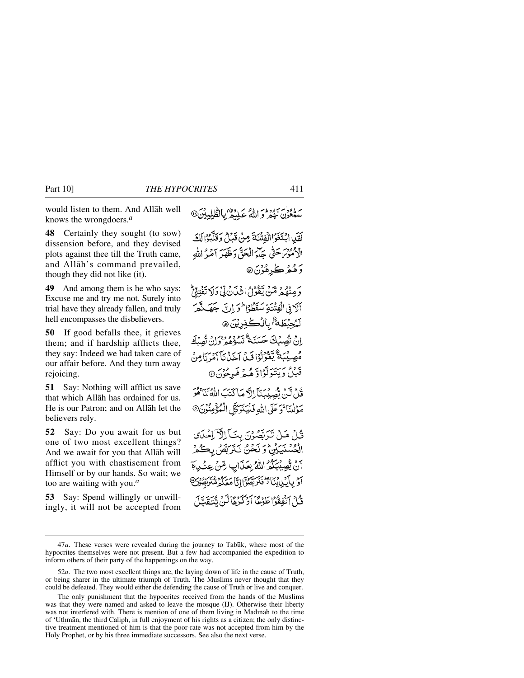would listen to them. And Allåh well knows the wrongdoers.*<sup>a</sup>*

**48** Certainly they sought (to sow) dissension before, and they devised plots against thee till the Truth came, and Allåh's command prevailed, though they did not like (it).

**49** And among them is he who says: Excuse me and try me not. Surely into trial have they already fallen, and truly hell encompasses the disbelievers.

**50** If good befalls thee, it grieves them; and if hardship afflicts thee, they say: Indeed we had taken care of our affair before. And they turn away rejoicing.

**51** Say: Nothing will afflict us save that which Allåh has ordained for us. He is our Patron; and on Allåh let the believers rely.

**52** Say: Do you await for us but one of two most excellent things? And we await for you that Allåh will afflict you with chastisement from Himself or by our hands. So wait; we too are waiting with you.*<sup>a</sup>*

**53** Say: Spend willingly or unwillingly, it will not be accepted from ستعون بهودم اللهُ عَلِيْهِمْ بِالطّْلِيِينَ@

لَقَيْدِ ابْتَغَوْاالْفِتْنَةَ مِنْ قَبْلُ وَقَلَّتُوْالَكَ الْأَمُوْسَ حَتَّى جَآءَ الْحَقَّ دَخَلَقَهَ آمَيْهُ اللَّهِ رَ هُءُ ڪُ<sub>ٽِر</sub>هُوُنَ®

بَرِ وَهُ دِيمَةٍ يَقُوْلُ اثْنَانُ لِّيْ دَلا تَفْتِيْئِي آلافي الْفِتْنَةِ سَقَطْوُا فَرَاتَ جَهَنْتُمَ لَمُحِيۡطَهُ ۚ بِٱلۡكَٰفِرِيۡنَ ۞ إِنْ نُصِبْكَ حَسَنَةٌ تَسْؤَهْمِ وَإِنْ تُصِبْكَ مُصِيْبَةٌ يَقْوُلُوْا قَبِدْ آخَذْنَا آمُ يَأْمِنْ قَبْلُ وَيَتَوَلَّوْاوَّهُمْ فَرِجُوْنَ@

قُلْ لَيْنَ تُصِيدُ بَآَ إِلاَّ صَاكِّتَبَ اللَّهُ لَنَاهُمْ مَوْلٰنَاً وَ عَلَى اللَّهِ فَلَيَتَوَكَّلِ الْمُؤْمِنُونَ@

قُلْ هَلْ تَرَبَّصُوْنَ بِنَ ۚ إِلَّآ لِحَٰدَى الْحُسْنَيَيْنِ ۚ وَ نَحْنُ نَتَرَبَّصُ بِكُمْ آنَ يُُصِيْبَكُمُ اللَّهُ بِعَذَابٍ مِّنْ عِنْ بِهَ أَوْ بِأَيْدِينَا تَكْفَنَرَبِّقُوْا إِنَّا مَعَكُمْ مُّنْزَبِّهُ وَبَنَّ قُبْلُ ٱنْفِقُوْاطَوْعَا أَوْكَرْهَا لَيْنَ تُنْتَقِيلَ

<sup>47</sup>*a*. These verses were revealed during the journey to Tabūk, where most of the hypocrites themselves were not present. But a few had accompanied the expedition to inform others of their party of the happenings on the way.

<sup>52</sup>*a*. The two most excellent things are, the laying down of life in the cause of Truth, or being sharer in the ultimate triumph of Truth. The Muslims never thought that they could be defeated. They would either die defending the cause of Truth or live and conquer.

The only punishment that the hypocrites received from the hands of the Muslims was that they were named and asked to leave the mosque (IJ). Otherwise their liberty was not interfered with. There is mention of one of them living in Madinah to the time of 'Uthmån, the third Caliph, in full enjoyment of his rights as a citizen; the only distinctive treatment mentioned of him is that the poor-rate was not accepted from him by the Holy Prophet, or by his three immediate successors. See also the next verse.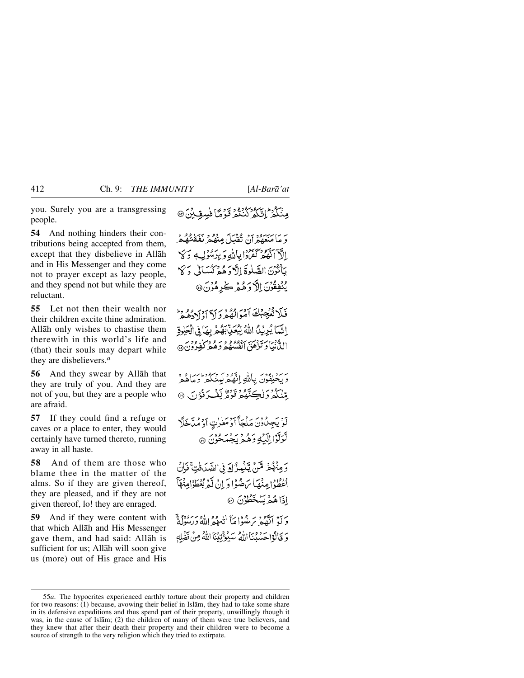you. Surely you are a transgressing people.

**54** And nothing hinders their contributions being accepted from them, except that they disbelieve in Allåh and in His Messenger and they come not to prayer except as lazy people, and they spend not but while they are reluctant.

**55** Let not then their wealth nor their children excite thine admiration. Allåh only wishes to chastise them therewith in this world's life and (that) their souls may depart while they are disbelievers.*<sup>a</sup>*

**56** And they swear by Allåh that they are truly of you. And they are not of you, but they are a people who are afraid.

**57** If they could find a refuge or caves or a place to enter, they would certainly have turned thereto, running away in all haste.

**58** And of them are those who blame thee in the matter of the alms. So if they are given thereof, they are pleased, and if they are not given thereof, lo! they are enraged.

**59** And if they were content with that which Allåh and His Messenger gave them, and had said: Allåh is sufficient for us; Allåh will soon give us (more) out of His grace and His مِنْكُمْ إِنَّكُمْ كُنْتُمْ تَوْمًّا فُسِقِيْنَ @

وَ مَا مَبْسَوْدِينَ تَقْبَلَ مِنْهُمْ نَفَقْتُهُمْ الَّهِ أَنَّهُمْ كَفَرَّدَانِاللَّهِ وَيُرَسُّؤُلِ وَكَلَّ يَأْتُرْنَ الصَّلْوَةَ اِلَّا وَهُمْ كُسَالِي وَكَا يَنْفِقُوْنَ إِلاَّ وَهُمْ كَرِهُوْنَ ۞

فَلَا تُعْجِبُكَ آمَوَالْهُمْرَوَلَا آوْلِرْدُهُمْ الِّمَا يُرِيْنُ اللَّهُ لِيُعَنِّبُهُمْ بِهَا فِي الْجَيْرِةِ الدُّنْبَاوَتَزْهَقَ أَنْفُسُهُمْ وَهُ وَكُوْرُونَ@

وَيَخْلِفُوْنَ بِاللَّهِ إِنَّهُمْ لَمِنْكُمْ وَمَاهُمْ ِمِّنْكُمْ وَلِكِنَّهُ وَنَوْرٌ يَّفُ دَقُوْنَ ۞

لَوۡ يَجِدُّوۡنَ مَلۡجَأَ ٱوۡمَغٰرٰتِ ٱوۡمُلَّاخَلَّا لْوَلّْوَاإِلَيْهِ وَهُمْ يَجْمَحُونَ ۞

وَمِنْهُمْ مِّنْ يِّلْمِزُكَ فِي الصَّدَفْتِ ۚ فَإِنَّ ودوا وقت سره واو ان گربوطواعنها<br>اعطواعِنها ساهنوا و اِن گربوطواعِنها اذَاهُمْ بَسُخَطُوْنَ ۞

وَ لَوْ أَنْقُصْرَ بِنَ هُوَا مَأَ أَنْهُوَ اللَّهُ وَرَسُوبٌ لِهُ وَ قَالُوْا حَسَّبُنَا اللَّهُ سَبُوْنِيْنَا اللَّهُ مِنْ نَضْلِهِ

<sup>55</sup>*a*. The hypocrites experienced earthly torture about their property and children for two reasons: (1) because, avowing their belief in Islåm, they had to take some share in its defensive expeditions and thus spend part of their property, unwillingly though it was, in the cause of Islåm; (2) the children of many of them were true believers, and they knew that after their death their property and their children were to become a source of strength to the very religion which they tried to extirpate.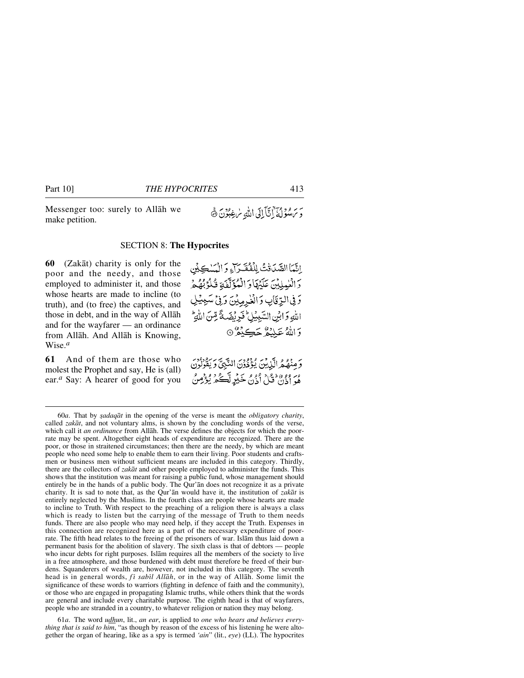Messenger too: surely to Allåh we make petition.

# يَر مِرومِين ابْتَآبائي الله سُرْغِبُوْنَ ۞

#### SECTION 8: **The Hypocrites**

**60** (Zakåt) charity is only for the poor and the needy, and those employed to administer it, and those whose hearts are made to incline (to truth), and (to free) the captives, and those in debt, and in the way of Allåh and for the wayfarer — an ordinance from Allåh. And Allåh is Knowing, Wise.*<sup>a</sup>*

**61** And of them are those who molest the Prophet and say, He is (all) ear.*<sup>a</sup>* Say: A hearer of good for you

اِتَّمَا الصَّدَفْتُ لِلْفَقَدَاءِ وَ الْمَسْكِيْنِ دَ الْعٰمِلِيْنَ عَلَيْهَا وَ الْمُؤَلَّفَةِ فُلُوْبُهُمْ وَفِي الرِّقَابِ وَالْغُرِمِيْنَ وَفِيْ سَبِيْلِ اللهِ وَابْنِ السَّبِيْلِ فَرِيْضَةً مِّنَ اللهِ وَاللَّهُ عَلَيْهُمْ جَڪِدَهُ ۞

وَ مِنْهُمُ الَّذِينَ يُؤْذُرُنَ النَّبِيَّ وَيَفُولُونَ مِرٍ وَوَرَدْ مَنْ أَذَنَ خَيْرٍ لَّكُمْ يُؤْمِنُ

61*a*. The word *udhun*, lit., *an ear*, is applied to *one who hears and believes everything that is said to him*, "as though by reason of the excess of his listening he were altogether the organ of hearing, like as a spy is termed *'ain*" (lit., *eye*) (LL). The hypocrites

<sup>60</sup>*a*. That by *©adaqåt* in the opening of the verse is meant the *obligatory charity*, called *zakåt*, and not voluntary alms, is shown by the concluding words of the verse, which call it *an ordinance* from Allåh. The verse defines the objects for which the poorrate may be spent. Altogether eight heads of expenditure are recognized. There are the poor, or those in straitened circumstances; then there are the needy, by which are meant people who need some help to enable them to earn their living. Poor students and craftsmen or business men without sufficient means are included in this category. Thirdly, there are the collectors of *zakåt* and other people employed to administer the funds. This shows that the institution was meant for raising a public fund, whose management should entirely be in the hands of a public body. The Qur'ån does not recognize it as a private charity. It is sad to note that, as the Qur'ån would have it, the institution of *zakåt* is entirely neglected by the Muslims. In the fourth class are people whose hearts are made to incline to Truth. With respect to the preaching of a religion there is always a class which is ready to listen but the carrying of the message of Truth to them needs funds. There are also people who may need help, if they accept the Truth. Expenses in this connection are recognized here as a part of the necessary expenditure of poorrate. The fifth head relates to the freeing of the prisoners of war. Islåm thus laid down a permanent basis for the abolition of slavery. The sixth class is that of debtors — people who incur debts for right purposes. Islåm requires all the members of the society to live in a free atmosphere, and those burdened with debt must therefore be freed of their burdens. Squanderers of wealth are, however, not included in this category. The seventh head is in general words, *fi sabil Allāh*, or in the way of Allāh. Some limit the significance of these words to warriors (fighting in defence of faith and the community), or those who are engaged in propagating Islamic truths, while others think that the words are general and include every charitable purpose. The eighth head is that of wayfarers, people who are stranded in a country, to whatever religion or nation they may belong.